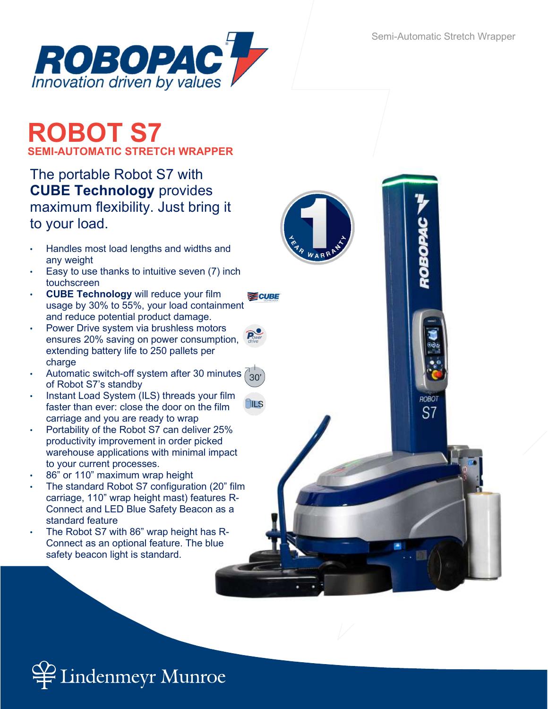ROBOP

ROBOT

S7



# ROBOT S7 SEMI-AUTOMATIC STRETCH WRAPPER

## The portable Robot S7 with CUBE Technology provides maximum flexibility. Just bring it to your load.

- Handles most load lengths and widths and any weight
- Easy to use thanks to intuitive seven (7) inch touchscreen
- CUBE Technology will reduce your film usage by 30% to 55%, your load containment and reduce potential product damage.
- Power Drive system via brushless motors ensures 20% saving on power consumption, extending battery life to 250 pallets per charge
- Automatic switch-off system after 30 minutes  $30'$ of Robot S7's standby
- Instant Load System (ILS) threads your film faster than ever: close the door on the film carriage and you are ready to wrap
- Portability of the Robot S7 can deliver 25% productivity improvement in order picked warehouse applications with minimal impact to your current processes.
- 86" or 110" maximum wrap height
- The standard Robot S7 configuration (20" film carriage, 110" wrap height mast) features R-Connect and LED Blue Safety Beacon as a standard feature
- The Robot S7 with 86" wrap height has R-Connect as an optional feature. The blue safety beacon light is standard.



 $\partial$ ILS